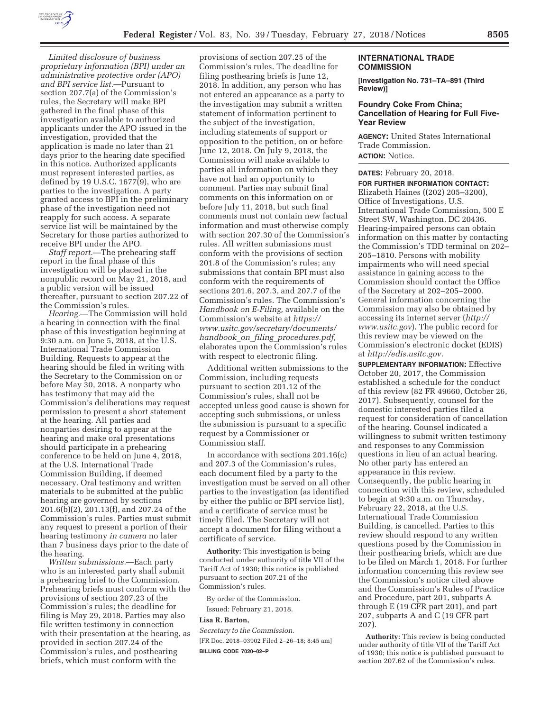

*Limited disclosure of business proprietary information (BPI) under an administrative protective order (APO) and BPI service list.*—Pursuant to section 207.7(a) of the Commission's rules, the Secretary will make BPI gathered in the final phase of this investigation available to authorized applicants under the APO issued in the investigation, provided that the application is made no later than 21 days prior to the hearing date specified in this notice. Authorized applicants must represent interested parties, as defined by 19 U.S.C. 1677(9), who are parties to the investigation. A party granted access to BPI in the preliminary phase of the investigation need not reapply for such access. A separate service list will be maintained by the Secretary for those parties authorized to receive BPI under the APO.

*Staff report.*—The prehearing staff report in the final phase of this investigation will be placed in the nonpublic record on May 21, 2018, and a public version will be issued thereafter, pursuant to section 207.22 of the Commission's rules.

*Hearing.*—The Commission will hold a hearing in connection with the final phase of this investigation beginning at 9:30 a.m. on June 5, 2018, at the U.S. International Trade Commission Building. Requests to appear at the hearing should be filed in writing with the Secretary to the Commission on or before May 30, 2018. A nonparty who has testimony that may aid the Commission's deliberations may request permission to present a short statement at the hearing. All parties and nonparties desiring to appear at the hearing and make oral presentations should participate in a prehearing conference to be held on June 4, 2018, at the U.S. International Trade Commission Building, if deemed necessary. Oral testimony and written materials to be submitted at the public hearing are governed by sections 201.6(b)(2), 201.13(f), and 207.24 of the Commission's rules. Parties must submit any request to present a portion of their hearing testimony *in camera* no later than 7 business days prior to the date of the hearing.

*Written submissions.*—Each party who is an interested party shall submit a prehearing brief to the Commission. Prehearing briefs must conform with the provisions of section 207.23 of the Commission's rules; the deadline for filing is May 29, 2018. Parties may also file written testimony in connection with their presentation at the hearing, as provided in section 207.24 of the Commission's rules, and posthearing briefs, which must conform with the

provisions of section 207.25 of the Commission's rules. The deadline for filing posthearing briefs is June 12, 2018. In addition, any person who has not entered an appearance as a party to the investigation may submit a written statement of information pertinent to the subject of the investigation, including statements of support or opposition to the petition, on or before June 12, 2018. On July 9, 2018, the Commission will make available to parties all information on which they have not had an opportunity to comment. Parties may submit final comments on this information on or before July 11, 2018, but such final comments must not contain new factual information and must otherwise comply with section 207.30 of the Commission's rules. All written submissions must conform with the provisions of section 201.8 of the Commission's rules; any submissions that contain BPI must also conform with the requirements of sections 201.6, 207.3, and 207.7 of the Commission's rules. The Commission's *Handbook on E-Filing,* available on the Commission's website at *https:// www.usitc.gov/secretary/documents/ handbook*\_*on*\_*filing*\_*procedures.pdf,*  elaborates upon the Commission's rules with respect to electronic filing.

Additional written submissions to the Commission, including requests pursuant to section 201.12 of the Commission's rules, shall not be accepted unless good cause is shown for accepting such submissions, or unless the submission is pursuant to a specific request by a Commissioner or Commission staff.

In accordance with sections 201.16(c) and 207.3 of the Commission's rules, each document filed by a party to the investigation must be served on all other parties to the investigation (as identified by either the public or BPI service list), and a certificate of service must be timely filed. The Secretary will not accept a document for filing without a certificate of service.

**Authority:** This investigation is being conducted under authority of title VII of the Tariff Act of 1930; this notice is published pursuant to section 207.21 of the Commission's rules.

By order of the Commission. Issued: February 21, 2018.

# **Lisa R. Barton,**

*Secretary to the Commission.*  [FR Doc. 2018–03902 Filed 2–26–18; 8:45 am] **BILLING CODE 7020–02–P** 

#### **INTERNATIONAL TRADE COMMISSION**

**[Investigation No. 731–TA–891 (Third Review)]** 

## **Foundry Coke From China; Cancellation of Hearing for Full Five-Year Review**

**AGENCY:** United States International Trade Commission. **ACTION:** Notice.

**DATES:** February 20, 2018.

**FOR FURTHER INFORMATION CONTACT:** 

Elizabeth Haines ((202) 205–3200), Office of Investigations, U.S. International Trade Commission, 500 E Street SW, Washington, DC 20436. Hearing-impaired persons can obtain information on this matter by contacting the Commission's TDD terminal on 202– 205–1810. Persons with mobility impairments who will need special assistance in gaining access to the Commission should contact the Office of the Secretary at 202–205–2000. General information concerning the Commission may also be obtained by accessing its internet server (*http:// www.usitc.gov*). The public record for this review may be viewed on the Commission's electronic docket (EDIS) at *http://edis.usitc.gov.* 

**SUPPLEMENTARY INFORMATION:** Effective October 20, 2017, the Commission established a schedule for the conduct of this review (82 FR 49660, October 26, 2017). Subsequently, counsel for the domestic interested parties filed a request for consideration of cancellation of the hearing. Counsel indicated a willingness to submit written testimony and responses to any Commission questions in lieu of an actual hearing. No other party has entered an appearance in this review. Consequently, the public hearing in connection with this review, scheduled to begin at 9:30 a.m. on Thursday, February 22, 2018, at the U.S. International Trade Commission Building, is cancelled. Parties to this review should respond to any written questions posed by the Commission in their posthearing briefs, which are due to be filed on March 1, 2018. For further information concerning this review see the Commission's notice cited above and the Commission's Rules of Practice and Procedure, part 201, subparts A through E (19 CFR part 201), and part 207, subparts A and C (19 CFR part 207).

**Authority:** This review is being conducted under authority of title VII of the Tariff Act of 1930; this notice is published pursuant to section 207.62 of the Commission's rules.